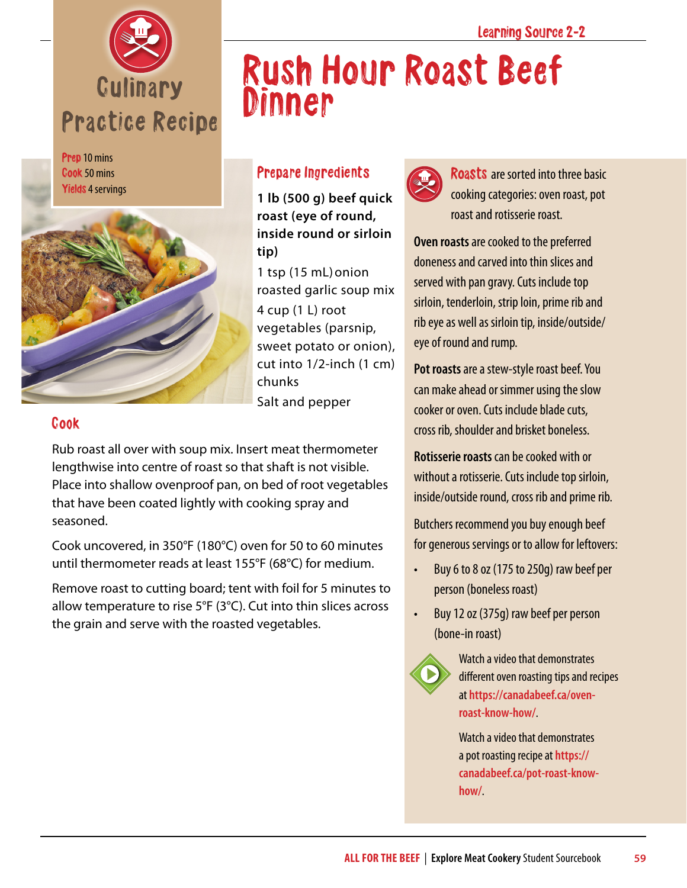

Prep 10 mins Cook 50 mins Yields 4 servings



## Prepare Ingredients

**Dinner** 

**1 lb (500 g) beef quick roast (eye of round, inside round or sirloin tip)**

1 tsp (15 mL)onion roasted garlic soup mix 4 cup (1 L) root vegetables (parsnip, sweet potato or onion), cut into 1/2-inch (1 cm) chunks Salt and pepper

## Cook

Rub roast all over with soup mix. Insert meat thermometer lengthwise into centre of roast so that shaft is not visible. Place into shallow ovenproof pan, on bed of root vegetables that have been coated lightly with cooking spray and seasoned.

Cook uncovered, in 350°F (180°C) oven for 50 to 60 minutes until thermometer reads at least 155°F (68°C) for medium.

Remove roast to cutting board; tent with foil for 5 minutes to allow temperature to rise 5°F (3°C). Cut into thin slices across the grain and serve with the roasted vegetables.



Rush Hour Roast Beef

Roasts are sorted into three basic cooking categories: oven roast, pot roast and rotisserie roast.

**Oven roasts** are cooked to the preferred doneness and carved into thin slices and served with pan gravy. Cuts include top sirloin, tenderloin, strip loin, prime rib and rib eye as well as sirloin tip, inside/outside/ eye of round and rump.

**Pot roasts** are a stew-style roast beef. You can make ahead or simmer using the slow cooker or oven. Cuts include blade cuts, cross rib, shoulder and brisket boneless.

**Rotisserie roasts** can be cooked with or without a rotisserie. Cuts include top sirloin, inside/outside round, cross rib and prime rib.

Butchers recommend you buy enough beef for generous servings or to allow for leftovers:

- Buy 6 to 8 oz (175 to 250g) raw beef per person (boneless roast)
- Buy 12 oz (375g) raw beef per person (bone-in roast)



Watch a video that demonstrates different oven roasting tips and recipes at **[https://canadabeef.ca/oven](https://canadabeef.ca/oven-roast-know-how/)[roast-know-how/](https://canadabeef.ca/oven-roast-know-how/)**.

Watch a video that demonstrates a pot roasting recipe at **[https://](https://canadabeef.ca/pot-roast-know-how/) [canadabeef.ca/pot-roast-know](https://canadabeef.ca/pot-roast-know-how/)[how/](https://canadabeef.ca/pot-roast-know-how/)**.